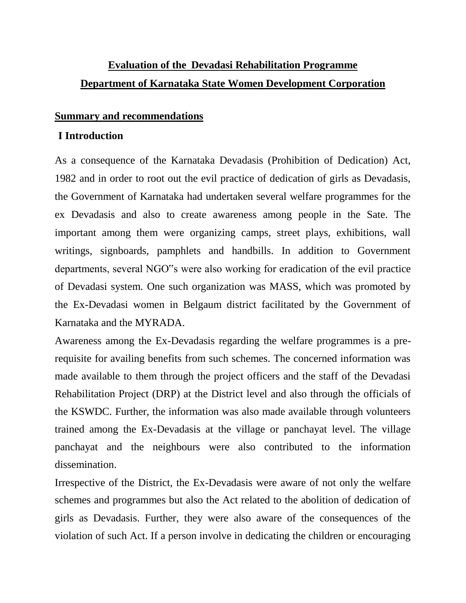# **Evaluation of the Devadasi Rehabilitation Programme Department of Karnataka State Women Development Corporation**

#### **Summary and recommendations**

### **I Introduction**

As a consequence of the Karnataka Devadasis (Prohibition of Dedication) Act, 1982 and in order to root out the evil practice of dedication of girls as Devadasis, the Government of Karnataka had undertaken several welfare programmes for the ex Devadasis and also to create awareness among people in the Sate. The important among them were organizing camps, street plays, exhibitions, wall writings, signboards, pamphlets and handbills. In addition to Government departments, several NGO"s were also working for eradication of the evil practice of Devadasi system. One such organization was MASS, which was promoted by the Ex-Devadasi women in Belgaum district facilitated by the Government of Karnataka and the MYRADA.

Awareness among the Ex-Devadasis regarding the welfare programmes is a prerequisite for availing benefits from such schemes. The concerned information was made available to them through the project officers and the staff of the Devadasi Rehabilitation Project (DRP) at the District level and also through the officials of the KSWDC. Further, the information was also made available through volunteers trained among the Ex-Devadasis at the village or panchayat level. The village panchayat and the neighbours were also contributed to the information dissemination.

Irrespective of the District, the Ex-Devadasis were aware of not only the welfare schemes and programmes but also the Act related to the abolition of dedication of girls as Devadasis. Further, they were also aware of the consequences of the violation of such Act. If a person involve in dedicating the children or encouraging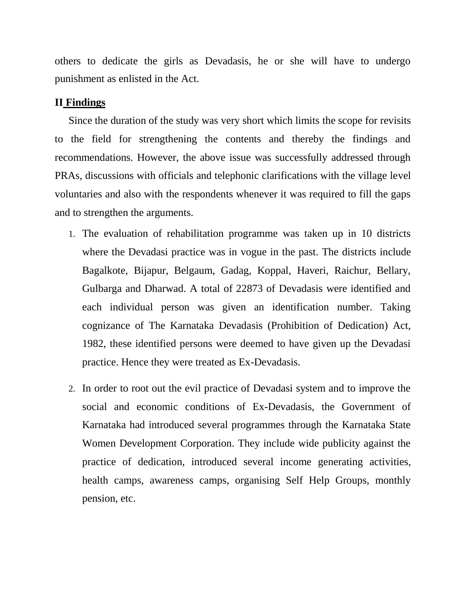others to dedicate the girls as Devadasis, he or she will have to undergo punishment as enlisted in the Act.

#### **II Findings**

Since the duration of the study was very short which limits the scope for revisits to the field for strengthening the contents and thereby the findings and recommendations. However, the above issue was successfully addressed through PRAs, discussions with officials and telephonic clarifications with the village level voluntaries and also with the respondents whenever it was required to fill the gaps and to strengthen the arguments.

- 1. The evaluation of rehabilitation programme was taken up in 10 districts where the Devadasi practice was in vogue in the past. The districts include Bagalkote, Bijapur, Belgaum, Gadag, Koppal, Haveri, Raichur, Bellary, Gulbarga and Dharwad. A total of 22873 of Devadasis were identified and each individual person was given an identification number. Taking cognizance of The Karnataka Devadasis (Prohibition of Dedication) Act, 1982, these identified persons were deemed to have given up the Devadasi practice. Hence they were treated as Ex-Devadasis.
- 2. In order to root out the evil practice of Devadasi system and to improve the social and economic conditions of Ex-Devadasis, the Government of Karnataka had introduced several programmes through the Karnataka State Women Development Corporation. They include wide publicity against the practice of dedication, introduced several income generating activities, health camps, awareness camps, organising Self Help Groups, monthly pension, etc.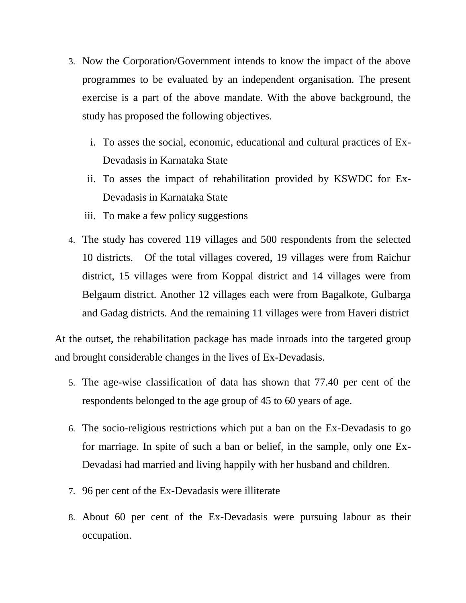- 3. Now the Corporation/Government intends to know the impact of the above programmes to be evaluated by an independent organisation. The present exercise is a part of the above mandate. With the above background, the study has proposed the following objectives.
	- i. To asses the social, economic, educational and cultural practices of Ex-Devadasis in Karnataka State
	- ii. To asses the impact of rehabilitation provided by KSWDC for Ex-Devadasis in Karnataka State
	- iii. To make a few policy suggestions
- 4. The study has covered 119 villages and 500 respondents from the selected 10 districts. Of the total villages covered, 19 villages were from Raichur district, 15 villages were from Koppal district and 14 villages were from Belgaum district. Another 12 villages each were from Bagalkote, Gulbarga and Gadag districts. And the remaining 11 villages were from Haveri district

At the outset, the rehabilitation package has made inroads into the targeted group and brought considerable changes in the lives of Ex-Devadasis.

- 5. The age-wise classification of data has shown that 77.40 per cent of the respondents belonged to the age group of 45 to 60 years of age.
- 6. The socio-religious restrictions which put a ban on the Ex-Devadasis to go for marriage. In spite of such a ban or belief, in the sample, only one Ex-Devadasi had married and living happily with her husband and children.
- 7. 96 per cent of the Ex-Devadasis were illiterate
- 8. About 60 per cent of the Ex-Devadasis were pursuing labour as their occupation.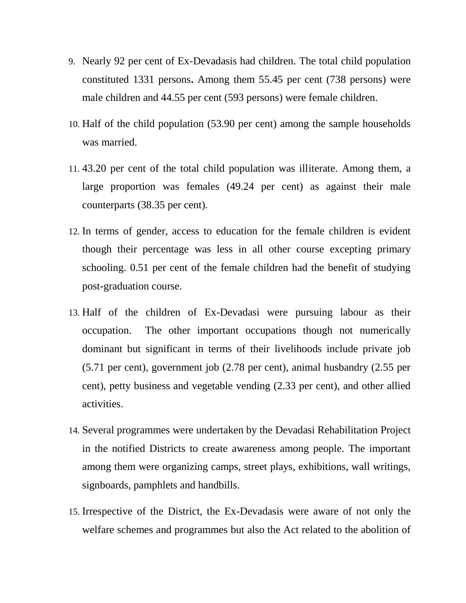- 9. Nearly 92 per cent of Ex-Devadasis had children. The total child population constituted 1331 persons**.** Among them 55.45 per cent (738 persons) were male children and 44.55 per cent (593 persons) were female children.
- 10. Half of the child population (53.90 per cent) among the sample households was married.
- 11. 43.20 per cent of the total child population was illiterate. Among them, a large proportion was females (49.24 per cent) as against their male counterparts (38.35 per cent).
- 12. In terms of gender, access to education for the female children is evident though their percentage was less in all other course excepting primary schooling. 0.51 per cent of the female children had the benefit of studying post-graduation course.
- 13. Half of the children of Ex-Devadasi were pursuing labour as their occupation. The other important occupations though not numerically dominant but significant in terms of their livelihoods include private job (5.71 per cent), government job (2.78 per cent), animal husbandry (2.55 per cent), petty business and vegetable vending (2.33 per cent), and other allied activities.
- 14. Several programmes were undertaken by the Devadasi Rehabilitation Project in the notified Districts to create awareness among people. The important among them were organizing camps, street plays, exhibitions, wall writings, signboards, pamphlets and handbills.
- 15. Irrespective of the District, the Ex-Devadasis were aware of not only the welfare schemes and programmes but also the Act related to the abolition of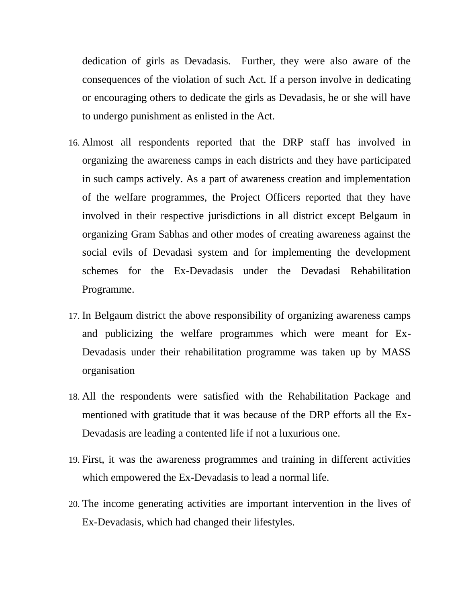dedication of girls as Devadasis. Further, they were also aware of the consequences of the violation of such Act. If a person involve in dedicating or encouraging others to dedicate the girls as Devadasis, he or she will have to undergo punishment as enlisted in the Act.

- 16. Almost all respondents reported that the DRP staff has involved in organizing the awareness camps in each districts and they have participated in such camps actively. As a part of awareness creation and implementation of the welfare programmes, the Project Officers reported that they have involved in their respective jurisdictions in all district except Belgaum in organizing Gram Sabhas and other modes of creating awareness against the social evils of Devadasi system and for implementing the development schemes for the Ex-Devadasis under the Devadasi Rehabilitation Programme.
- 17. In Belgaum district the above responsibility of organizing awareness camps and publicizing the welfare programmes which were meant for Ex-Devadasis under their rehabilitation programme was taken up by MASS organisation
- 18. All the respondents were satisfied with the Rehabilitation Package and mentioned with gratitude that it was because of the DRP efforts all the Ex-Devadasis are leading a contented life if not a luxurious one.
- 19. First, it was the awareness programmes and training in different activities which empowered the Ex-Devadasis to lead a normal life.
- 20. The income generating activities are important intervention in the lives of Ex-Devadasis, which had changed their lifestyles.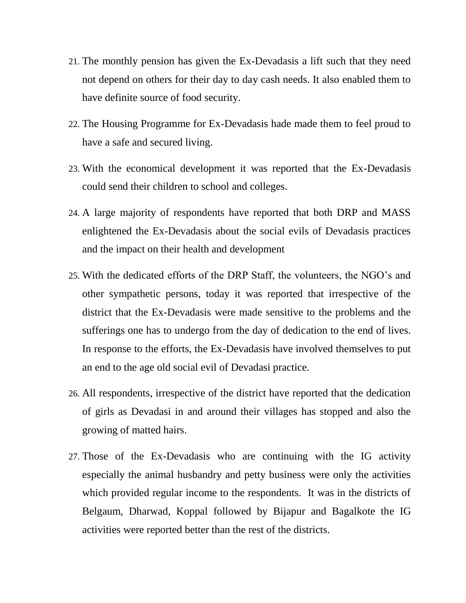- 21. The monthly pension has given the Ex-Devadasis a lift such that they need not depend on others for their day to day cash needs. It also enabled them to have definite source of food security.
- 22. The Housing Programme for Ex-Devadasis hade made them to feel proud to have a safe and secured living.
- 23. With the economical development it was reported that the Ex-Devadasis could send their children to school and colleges.
- 24. A large majority of respondents have reported that both DRP and MASS enlightened the Ex-Devadasis about the social evils of Devadasis practices and the impact on their health and development
- 25. With the dedicated efforts of the DRP Staff, the volunteers, the NGO's and other sympathetic persons, today it was reported that irrespective of the district that the Ex-Devadasis were made sensitive to the problems and the sufferings one has to undergo from the day of dedication to the end of lives. In response to the efforts, the Ex-Devadasis have involved themselves to put an end to the age old social evil of Devadasi practice.
- 26. All respondents, irrespective of the district have reported that the dedication of girls as Devadasi in and around their villages has stopped and also the growing of matted hairs.
- 27. Those of the Ex-Devadasis who are continuing with the IG activity especially the animal husbandry and petty business were only the activities which provided regular income to the respondents. It was in the districts of Belgaum, Dharwad, Koppal followed by Bijapur and Bagalkote the IG activities were reported better than the rest of the districts.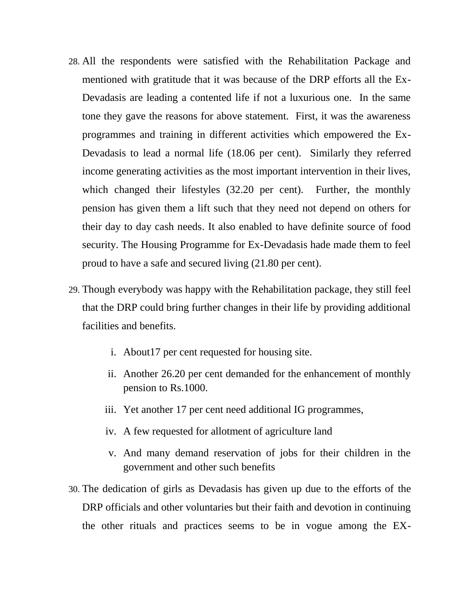- 28. All the respondents were satisfied with the Rehabilitation Package and mentioned with gratitude that it was because of the DRP efforts all the Ex-Devadasis are leading a contented life if not a luxurious one. In the same tone they gave the reasons for above statement. First, it was the awareness programmes and training in different activities which empowered the Ex-Devadasis to lead a normal life (18.06 per cent). Similarly they referred income generating activities as the most important intervention in their lives, which changed their lifestyles (32.20 per cent). Further, the monthly pension has given them a lift such that they need not depend on others for their day to day cash needs. It also enabled to have definite source of food security. The Housing Programme for Ex-Devadasis hade made them to feel proud to have a safe and secured living (21.80 per cent).
- 29. Though everybody was happy with the Rehabilitation package, they still feel that the DRP could bring further changes in their life by providing additional facilities and benefits.
	- i. About17 per cent requested for housing site.
	- ii. Another 26.20 per cent demanded for the enhancement of monthly pension to Rs.1000.
	- iii. Yet another 17 per cent need additional IG programmes,
	- iv. A few requested for allotment of agriculture land
	- v. And many demand reservation of jobs for their children in the government and other such benefits
- 30. The dedication of girls as Devadasis has given up due to the efforts of the DRP officials and other voluntaries but their faith and devotion in continuing the other rituals and practices seems to be in vogue among the EX-